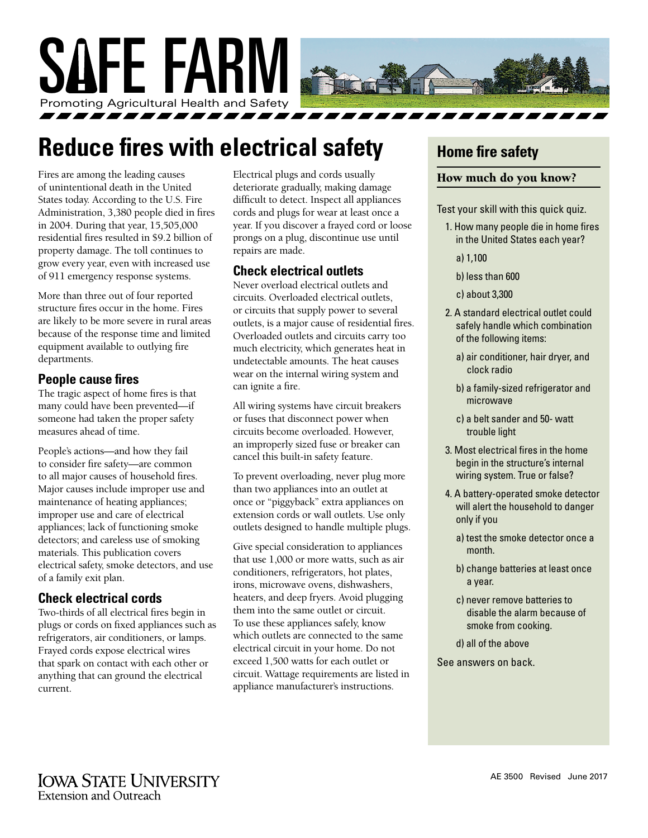

## **Reduce fires with electrical safety**

Fires are among the leading causes of unintentional death in the United States today. According to the U.S. Fire Administration, 3,380 people died in fires in 2004. During that year, 15,505,000 residential fires resulted in \$9.2 billion of property damage. The toll continues to grow every year, even with increased use of 911 emergency response systems.

More than three out of four reported structure fires occur in the home. Fires are likely to be more severe in rural areas because of the response time and limited equipment available to outlying fire departments.

#### **People cause fires**

The tragic aspect of home fires is that many could have been prevented—if someone had taken the proper safety measures ahead of time.

People's actions—and how they fail to consider fire safety—are common to all major causes of household fires. Major causes include improper use and maintenance of heating appliances; improper use and care of electrical appliances; lack of functioning smoke detectors; and careless use of smoking materials. This publication covers electrical safety, smoke detectors, and use of a family exit plan.

#### **Check electrical cords**

Two-thirds of all electrical fires begin in plugs or cords on fixed appliances such as refrigerators, air conditioners, or lamps. Frayed cords expose electrical wires that spark on contact with each other or anything that can ground the electrical current.

Electrical plugs and cords usually deteriorate gradually, making damage difficult to detect. Inspect all appliances cords and plugs for wear at least once a year. If you discover a frayed cord or loose prongs on a plug, discontinue use until repairs are made.

#### **Check electrical outlets**

Never overload electrical outlets and circuits. Overloaded electrical outlets, or circuits that supply power to several outlets, is a major cause of residential fires. Overloaded outlets and circuits carry too much electricity, which generates heat in undetectable amounts. The heat causes wear on the internal wiring system and can ignite a fire.

All wiring systems have circuit breakers or fuses that disconnect power when circuits become overloaded. However, an improperly sized fuse or breaker can cancel this built-in safety feature.

To prevent overloading, never plug more than two appliances into an outlet at once or "piggyback" extra appliances on extension cords or wall outlets. Use only outlets designed to handle multiple plugs.

Give special consideration to appliances that use 1,000 or more watts, such as air conditioners, refrigerators, hot plates, irons, microwave ovens, dishwashers, heaters, and deep fryers. Avoid plugging them into the same outlet or circuit. To use these appliances safely, know which outlets are connected to the same electrical circuit in your home. Do not exceed 1,500 watts for each outlet or circuit. Wattage requirements are listed in appliance manufacturer's instructions.

## **Home fire safety**

#### How much do you know?

Test your skill with this quick quiz.

- 1. How many people die in home fires in the United States each year?
	- a) 1,100
	- b) less than 600
	- c) about 3,300
- 2. A standard electrical outlet could safely handle which combination of the following items:
	- a) air conditioner, hair dryer, and clock radio
	- b) a family-sized refrigerator and microwave
	- c) a belt sander and 50- watt trouble light
- 3. Most electrical fires in the home begin in the structure's internal wiring system. True or false?
- 4. A battery-operated smoke detector will alert the household to danger only if you
	- a) test the smoke detector once a month.
	- b) change batteries at least once a year.
	- c) never remove batteries to disable the alarm because of smoke from cooking.
	- d) all of the above
- See answers on back.